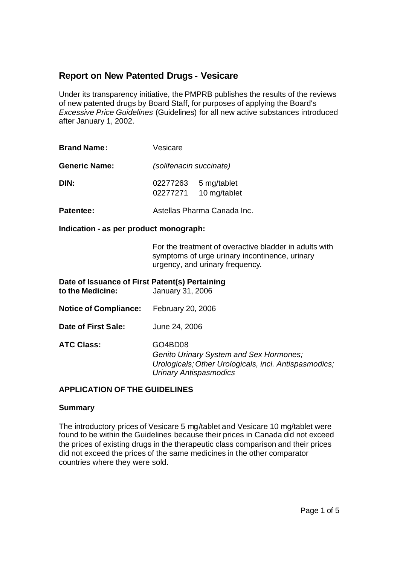# **Report on New Patented Drugs - Vesicare**

Under its transparency initiative, the PMPRB publishes the results of the reviews of new patented drugs by Board Staff, for purposes of applying the Board's *Excessive Price Guidelines* (Guidelines) for all new active substances introduced after January 1, 2002.

| <b>Brand Name:</b>   | Vesicare                                            |  |  |
|----------------------|-----------------------------------------------------|--|--|
| <b>Generic Name:</b> | (solifenacin succinate)                             |  |  |
| DIN:                 | 5 mg/tablet<br>02277263<br>10 mg/tablet<br>02277271 |  |  |
| <b>Patentee:</b>     | Astellas Pharma Canada Inc.                         |  |  |

**Indication - as per product monograph:**

For the treatment of overactive bladder in adults with symptoms of urge urinary incontinence, urinary urgency, and urinary frequency.

| Date of Issuance of First Patent(s) Pertaining<br>to the Medicine: | January 31, 2006                                                                                                                             |
|--------------------------------------------------------------------|----------------------------------------------------------------------------------------------------------------------------------------------|
| <b>Notice of Compliance:</b>                                       | February 20, 2006                                                                                                                            |
| Date of First Sale:                                                | June 24, 2006                                                                                                                                |
| <b>ATC Class:</b>                                                  | GO4BD08<br>Genito Urinary System and Sex Hormones;<br>Urologicals; Other Urologicals, incl. Antispasmodics;<br><b>Urinary Antispasmodics</b> |

### **APPLICATION OF THE GUIDELINES**

#### **Summary**

The introductory prices of Vesicare 5 mg/tablet and Vesicare 10 mg/tablet were found to be within the Guidelines because their prices in Canada did not exceed the prices of existing drugs in the therapeutic class comparison and their prices did not exceed the prices of the same medicines in the other comparator countries where they were sold.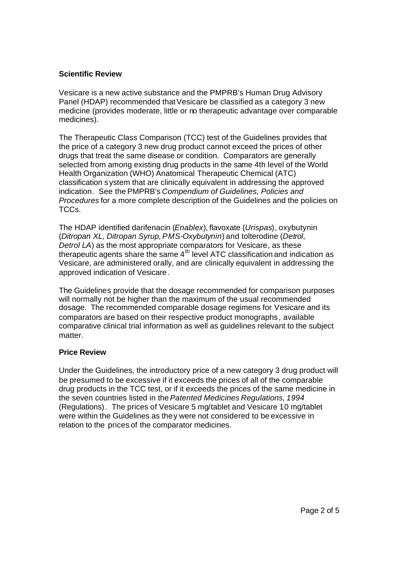### **Scientific Review**

Vesicare is a new active substance and the PMPRB's Human Drug Advisory Panel (HDAP) recommended that Vesicare be classified as a category 3 new medicine (provides moderate, little or no therapeutic advantage over comparable medicines).

The Therapeutic Class Comparison (TCC) test of the Guidelines provides that the price of a category 3 new drug product cannot exceed the prices of other drugs that treat the same disease or condition. Comparators are generally selected from among existing drug products in the same 4th level of the World Health Organization (WHO) Anatomical Therapeutic Chemical (ATC) classification system that are clinically equivalent in addressing the approved indication. See the PMPRB's *Compendium of Guidelines, Policies and Procedures* for a more complete description of the Guidelines and the policies on TCCs.

The HDAP identified darifenacin (*Enablex*), flavoxate (*Urispas*), oxybutynin (*Ditropan XL, Ditropan Syrup, PMS-Oxybutynin*) and tolterodine (*Detrol, Detrol LA*) as the most appropriate comparators for Vesicare, as these therapeutic agents share the same  $4<sup>th</sup>$  level ATC classification and indication as Vesicare, are administered orally, and are clinically equivalent in addressing the approved indication of Vesicare.

The Guidelines provide that the dosage recommended for comparison purposes will normally not be higher than the maximum of the usual recommended dosage. The recommended comparable dosage regimens for Vesicare and its comparators are based on their respective product monographs , available comparative clinical trial information as well as guidelines relevant to the subject matter.

### **Price Review**

Under the Guidelines, the introductory price of a new category 3 drug product will be presumed to be excessive if it exceeds the prices of all of the comparable drug products in the TCC test, or if it exceeds the prices of the same medicine in the seven countries listed in the *Patented Medicines Regulations, 1994* (Regulations). The prices of Vesicare 5 mg/tablet and Vesicare 10 mg/tablet were within the Guidelines as they were not considered to be excessive in relation to the prices of the comparator medicines.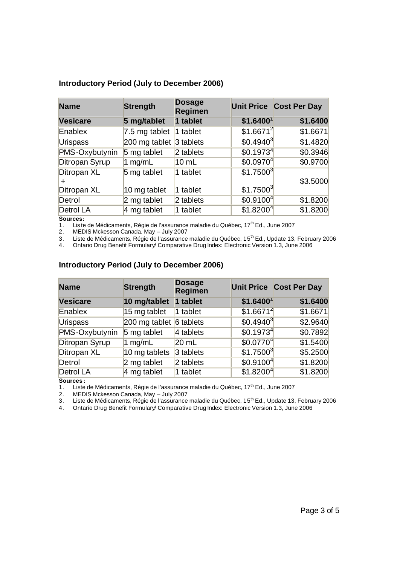| <b>Name</b>     | <b>Strength</b> | <b>Dosage</b><br><b>Regimen</b> |                       | <b>Unit Price Cost Per Day</b> |
|-----------------|-----------------|---------------------------------|-----------------------|--------------------------------|
| <b>Vesicare</b> | 5 mg/tablet     | 1 tablet                        | \$1.6400              | \$1.6400                       |
| Enablex         | 7.5 mg tablet   | $1$ tablet                      | \$1.6671 <sup>2</sup> | \$1.6671                       |
| <b>Urispass</b> | 200 mg tablet   | 3 tablets                       | $$0.4940^3$           | \$1.4820                       |
| PMS-Oxybutynin  | 5 mg tablet     | 2 tablets                       | \$0.1973 <sup>4</sup> | \$0.3946                       |
| Ditropan Syrup  | 1 mg/mL         | $10 \mathrm{m}$                 | \$0.0970 <sup>4</sup> | \$0.9700                       |
| Ditropan XL     | 5 mg tablet     | 1 tablet                        | \$1.7500 <sup>3</sup> | \$3.5000                       |
| Ditropan XL     | 10 mg tablet    | 1 tablet                        | \$1.7500 <sup>3</sup> |                                |
| Detrol          | $2$ mg tablet   | 2 tablets                       | \$0.9100 <sup>4</sup> | \$1.8200                       |
| Detrol LA       | 4 mg tablet     | 1 tablet                        | \$1.8200 <sup>4</sup> | \$1.8200                       |

#### **Introductory Period (July to December 2006)**

**Sources:**

1. Lis te de Médicaments, Régie de l'assurance maladie du Québec, 17<sup>th</sup> Ed., June 2007

2. MEDIS Mckesson Canada, May – July 2007

3. Liste de Médicaments, Régie de l'assurance maladie du Québec, 15<sup>th</sup> Ed., Update 13, February 2006

4. Ontario Drug Benefit Formulary/ Comparative Drug Index: Electronic Version 1.3, June 2006

| <b>Name</b>      | <b>Strength</b>                      | <b>Dosage</b><br><b>Regimen</b> |                       | <b>Unit Price Cost Per Day</b> |
|------------------|--------------------------------------|---------------------------------|-----------------------|--------------------------------|
| <b>Vesicare</b>  | 10 mg/tablet                         | 1 tablet                        | \$1.6400 <sup>1</sup> | \$1.6400                       |
| Enablex          | 15 mg tablet                         | 1 tablet                        | \$1.6671 <sup>2</sup> | \$1.6671                       |
| <b>Urispass</b>  | 200 mg tablet $\overline{6}$ tablets |                                 | $$0.4940^3$           | \$2.9640                       |
| PMS-Oxybutynin   | 5 mg tablet                          | 4 tablets                       | \$0.1973 <sup>4</sup> | \$0.7892                       |
| Ditropan Syrup   | 1 $mg/mL$                            | $20$ mL                         | \$0.0770 <sup>4</sup> | \$1.5400                       |
| Ditropan XL      | 10 mg tablets                        | 3 tablets                       | \$1.7500 <sup>3</sup> | \$5.2500                       |
| Detrol           | 2 mg tablet                          | 2 tablets                       | \$0.9100 <sup>4</sup> | \$1.8200                       |
| <b>Detrol LA</b> | 4 mg tablet                          | 1 tablet                        | \$1.8200 <sup>4</sup> | \$1.8200                       |

## **Introductory Period (July to December 2006)**

**Sources :**

1. Liste de Médicaments, Régie de l'assurance maladie du Québec, 17<sup>th</sup> Ed., June 2007

2. MEDIS Mckesson Canada, May – July 2007

3. Liste de Médicaments, Régie de l'assurance maladie du Québec, 15<sup>th</sup> Ed., Update 13, February 2006

4. Ontario Drug Benefit Formulary/ Comparative Drug Index: Electronic Version 1.3, June 2006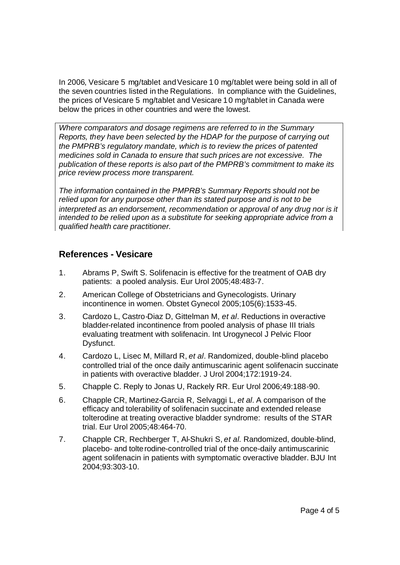In 2006, Vesicare 5 mg/tablet and Vesicare 10 mg/tablet were being sold in all of the seven countries listed in the Regulations. In compliance with the Guidelines, the prices of Vesicare 5 mg/tablet and Vesicare 10 mg/tablet in Canada were below the prices in other countries and were the lowest.

*Where comparators and dosage regimens are referred to in the Summary Reports, they have been selected by the HDAP for the purpose of carrying out the PMPRB's regulatory mandate, which is to review the prices of patented medicines sold in Canada to ensure that such prices are not excessive. The publication of these reports is also part of the PMPRB's commitment to make its price review process more transparent.*

*The information contained in the PMPRB's Summary Reports should not be relied upon for any purpose other than its stated purpose and is not to be interpreted as an endorsement, recommendation or approval of any drug nor is it intended to be relied upon as a substitute for seeking appropriate advice from a qualified health care practitioner.*

# **References - Vesicare**

- 1. Abrams P, Swift S. Solifenacin is effective for the treatment of OAB dry patients: a pooled analysis. Eur Urol 2005;48:483-7.
- 2. American College of Obstetricians and Gynecologists. Urinary incontinence in women. Obstet Gynecol 2005;105(6):1533-45.
- 3. Cardozo L, Castro-Diaz D, Gittelman M, *et al*. Reductions in overactive bladder-related incontinence from pooled analysis of phase III trials evaluating treatment with solifenacin. Int Urogynecol J Pelvic Floor Dysfunct.
- 4. Cardozo L, Lisec M, Millard R, *et al*. Randomized, double-blind placebo controlled trial of the once daily antimuscarinic agent solifenacin succinate in patients with overactive bladder. J Urol 2004;172:1919-24.
- 5. Chapple C. Reply to Jonas U, Rackely RR. Eur Urol 2006;49:188-90.
- 6. Chapple CR, Martinez-Garcia R, Selvaggi L, *et al*. A comparison of the efficacy and tolerability of solifenacin succinate and extended release tolterodine at treating overactive bladder syndrome: results of the STAR trial. Eur Urol 2005;48:464-70.
- 7. Chapple CR, Rechberger T, Al-Shukri S, *et al*. Randomized, double-blind, placebo- and tolterodine-controlled trial of the once-daily antimuscarinic agent solifenacin in patients with symptomatic overactive bladder. BJU Int 2004;93:303-10.